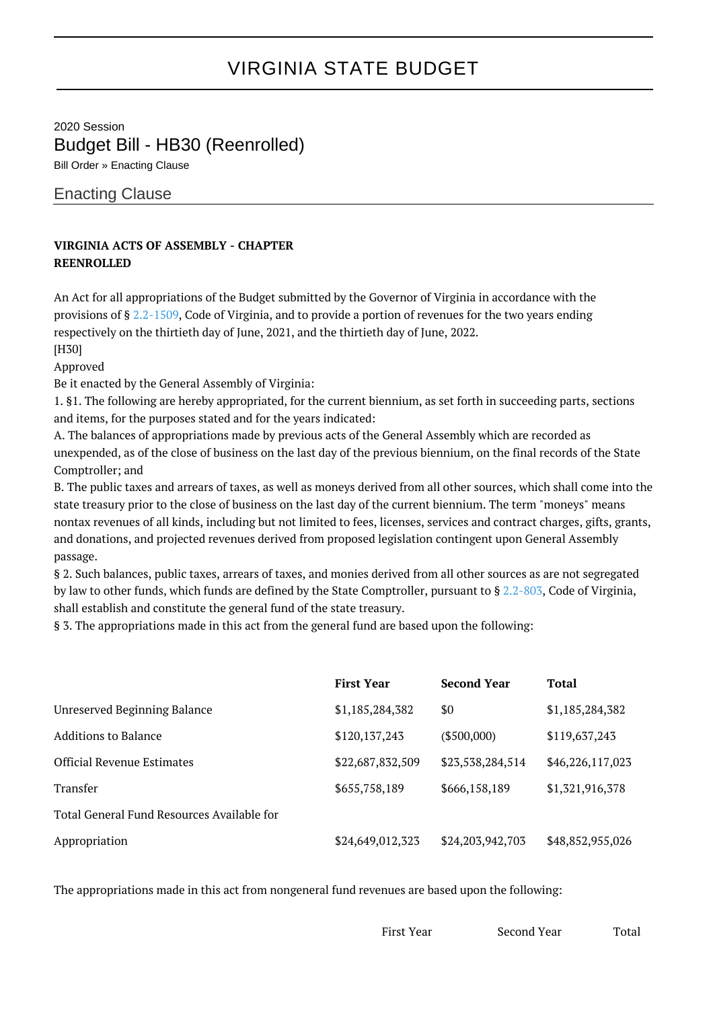## VIRGINIA STATE BUDGET

2020 Session Budget Bill - HB30 (Reenrolled) Bill Order » Enacting Clause

Enacting Clause

## **VIRGINIA ACTS OF ASSEMBLY - CHAPTER REENROLLED**

An Act for all appropriations of the Budget submitted by the Governor of Virginia in accordance with the provisions of § [2.2-1509](http://law.lis.virginia.gov/vacode/2.2-1509/), Code of Virginia, and to provide a portion of revenues for the two years ending respectively on the thirtieth day of June, 2021, and the thirtieth day of June, 2022.

[H30]

Approved

Be it enacted by the General Assembly of Virginia:

1. §1. The following are hereby appropriated, for the current biennium, as set forth in succeeding parts, sections and items, for the purposes stated and for the years indicated:

A. The balances of appropriations made by previous acts of the General Assembly which are recorded as unexpended, as of the close of business on the last day of the previous biennium, on the final records of the State Comptroller; and

B. The public taxes and arrears of taxes, as well as moneys derived from all other sources, which shall come into the state treasury prior to the close of business on the last day of the current biennium. The term "moneys" means nontax revenues of all kinds, including but not limited to fees, licenses, services and contract charges, gifts, grants, and donations, and projected revenues derived from proposed legislation contingent upon General Assembly passage.

§ 2. Such balances, public taxes, arrears of taxes, and monies derived from all other sources as are not segregated by law to other funds, which funds are defined by the State Comptroller, pursuant to § [2.2-803,](http://law.lis.virginia.gov/vacode/2.2-803/) Code of Virginia, shall establish and constitute the general fund of the state treasury.

§ 3. The appropriations made in this act from the general fund are based upon the following:

|                                            | <b>First Year</b> | <b>Second Year</b> | Total            |
|--------------------------------------------|-------------------|--------------------|------------------|
| <b>Unreserved Beginning Balance</b>        | \$1,185,284,382   | \$0                | \$1,185,284,382  |
| Additions to Balance                       | \$120,137,243     | $(\$500,000)$      | \$119,637,243    |
| <b>Official Revenue Estimates</b>          | \$22,687,832,509  | \$23,538,284,514   | \$46,226,117,023 |
| Transfer                                   | \$655,758,189     | \$666,158,189      | \$1,321,916,378  |
| Total General Fund Resources Available for |                   |                    |                  |
| Appropriation                              | \$24,649,012,323  | \$24,203,942,703   | \$48,852,955,026 |

The appropriations made in this act from nongeneral fund revenues are based upon the following:

First Year Second Year Total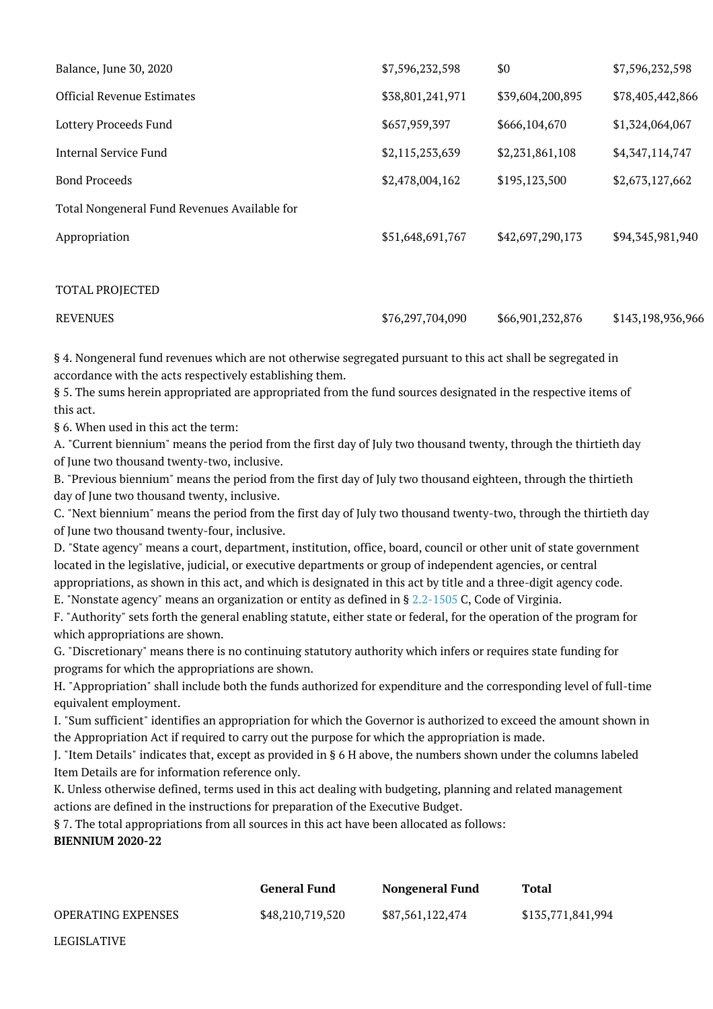| Balance, June 30, 2020                       | \$7,596,232,598  | \$0              | \$7,596,232,598  |
|----------------------------------------------|------------------|------------------|------------------|
| <b>Official Revenue Estimates</b>            | \$38,801,241,971 | \$39,604,200,895 | \$78,405,442,866 |
| <b>Lottery Proceeds Fund</b>                 | \$657,959,397    | \$666,104,670    | \$1,324,064,067  |
| Internal Service Fund                        | \$2,115,253,639  | \$2,231,861,108  | \$4,347,114,747  |
| <b>Bond Proceeds</b>                         | \$2,478,004,162  | \$195,123,500    | \$2,673,127,662  |
| Total Nongeneral Fund Revenues Available for |                  |                  |                  |
| Appropriation                                | \$51,648,691,767 | \$42,697,290,173 | \$94,345,981,940 |
|                                              |                  |                  |                  |
| <b>TOTAL PROJECTED</b>                       |                  |                  |                  |

| <b>REVENUES</b> | \$76,297,704,090 | \$66,901,232,876 | \$143,198,936,966 |
|-----------------|------------------|------------------|-------------------|
|                 |                  |                  |                   |

§ 4. Nongeneral fund revenues which are not otherwise segregated pursuant to this act shall be segregated in accordance with the acts respectively establishing them.

§ 5. The sums herein appropriated are appropriated from the fund sources designated in the respective items of this act.

§ 6. When used in this act the term:

LEGISLATIVE

A. "Current biennium" means the period from the first day of July two thousand twenty, through the thirtieth day of June two thousand twenty-two, inclusive.

B. "Previous biennium" means the period from the first day of July two thousand eighteen, through the thirtieth day of June two thousand twenty, inclusive.

C. "Next biennium" means the period from the first day of July two thousand twenty-two, through the thirtieth day of June two thousand twenty-four, inclusive.

D. "State agency" means a court, department, institution, office, board, council or other unit of state government located in the legislative, judicial, or executive departments or group of independent agencies, or central appropriations, as shown in this act, and which is designated in this act by title and a three-digit agency code.

E. "Nonstate agency" means an organization or entity as defined in § [2.2-1505](http://law.lis.virginia.gov/vacode/2.2-1505/) C, Code of Virginia.

F. "Authority" sets forth the general enabling statute, either state or federal, for the operation of the program for which appropriations are shown.

G. "Discretionary" means there is no continuing statutory authority which infers or requires state funding for programs for which the appropriations are shown.

H. "Appropriation" shall include both the funds authorized for expenditure and the corresponding level of full-time equivalent employment.

I. "Sum sufficient" identifies an appropriation for which the Governor is authorized to exceed the amount shown in the Appropriation Act if required to carry out the purpose for which the appropriation is made.

J. "Item Details" indicates that, except as provided in § 6 H above, the numbers shown under the columns labeled Item Details are for information reference only.

K. Unless otherwise defined, terms used in this act dealing with budgeting, planning and related management actions are defined in the instructions for preparation of the Executive Budget.

§ 7. The total appropriations from all sources in this act have been allocated as follows: **BIENNIUM 2020-22**

|                           | <b>General Fund</b> | Nongeneral Fund  | Total             |
|---------------------------|---------------------|------------------|-------------------|
| <b>OPERATING EXPENSES</b> | \$48,210,719,520    | \$87,561,122,474 | \$135,771,841,994 |